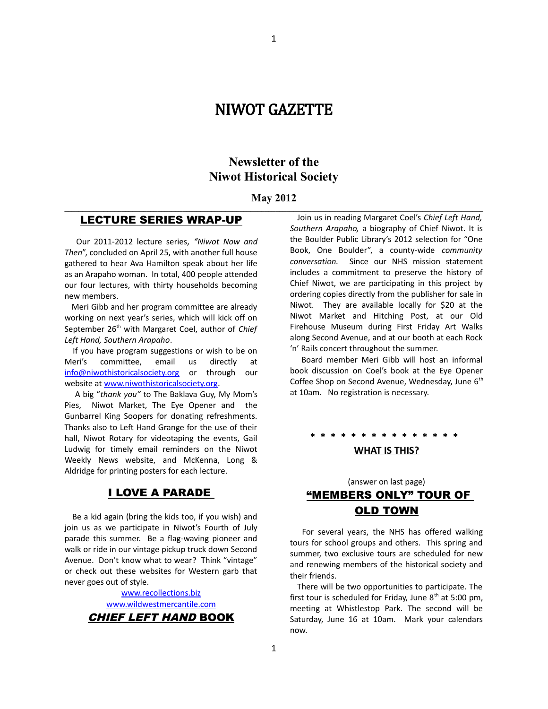# NIWOT GAZETTE

## **Newsletter of the Niwot Historical Society**

#### **May 2012 \_\_\_\_\_\_\_\_\_\_\_\_\_\_\_\_\_\_\_\_\_\_\_\_\_\_\_\_\_\_\_\_\_\_\_\_\_\_\_\_\_\_\_\_\_\_\_\_\_\_\_\_\_\_\_\_\_\_\_\_\_\_\_\_\_\_\_\_\_\_\_\_\_\_\_\_\_\_\_\_\_\_\_\_\_\_\_\_\_\_\_\_\_\_\_\_\_\_\_\_\_\_\_\_\_\_\_\_\_\_\_\_\_\_\_\_\_**

### LECTURE SERIES WRAP-UP

 Our 2011-2012 lecture series*, "Niwot Now and Then*", concluded on April 25, with another full house gathered to hear Ava Hamilton speak about her life as an Arapaho woman. In total, 400 people attended our four lectures, with thirty households becoming new members.

 Meri Gibb and her program committee are already working on next year's series, which will kick off on September 26<sup>th</sup> with Margaret Coel, author of *Chief Left Hand, Southern Arapaho*.

 If you have program suggestions or wish to be on Meri's committee, email us directly at [info@niwothistoricalsociety.org](mailto:info@niwothistoricalsociety.org) or through our website at [www.niwothistoricalsociety.org.](http://www.niwothistoricalsociety.org/)

 A big "*thank you"* to The Baklava Guy, My Mom's Pies, Niwot Market, The Eye Opener and the Gunbarrel King Soopers for donating refreshments. Thanks also to Left Hand Grange for the use of their hall, Niwot Rotary for videotaping the events, Gail Ludwig for timely email reminders on the Niwot Weekly News website, and McKenna, Long & Aldridge for printing posters for each lecture.

### I LOVE A PARADE

 Be a kid again (bring the kids too, if you wish) and join us as we participate in Niwot's Fourth of July parade this summer. Be a flag-waving pioneer and walk or ride in our vintage pickup truck down Second Avenue. Don't know what to wear? Think "vintage" or check out these websites for Western garb that never goes out of style.

> [www.recollections.biz](http://www.recollections.biz/) [www.wildwestmercantile.com](http://www.wildwestmercantile.com/) CHIEF LEFT HAND BOOK

 Join us in reading Margaret Coel's *Chief Left Hand, Southern Arapaho,* a biography of Chief Niwot. It is the Boulder Public Library's 2012 selection for "One Book, One Boulder", a county-wide *community conversation.* Since our NHS mission statement includes a commitment to preserve the history of Chief Niwot, we are participating in this project by ordering copies directly from the publisher for sale in Niwot. They are available locally for \$20 at the Niwot Market and Hitching Post, at our Old Firehouse Museum during First Friday Art Walks along Second Avenue, and at our booth at each Rock 'n' Rails concert throughout the summer.

 Board member Meri Gibb will host an informal book discussion on Coel's book at the Eye Opener Coffee Shop on Second Avenue, Wednesday, June 6<sup>th</sup> at 10am. No registration is necessary.

**\* \* \* \* \* \* \* \* \* \* \* \* \* \* \*** 

#### **WHAT IS THIS?**

## (answer on last page) "MEMBERS ONLY" TOUR OF OLD TOWN

 For several years, the NHS has offered walking tours for school groups and others. This spring and summer, two exclusive tours are scheduled for new and renewing members of the historical society and their friends.

 There will be two opportunities to participate. The first tour is scheduled for Friday, June  $8<sup>th</sup>$  at 5:00 pm, meeting at Whistlestop Park. The second will be Saturday, June 16 at 10am. Mark your calendars now.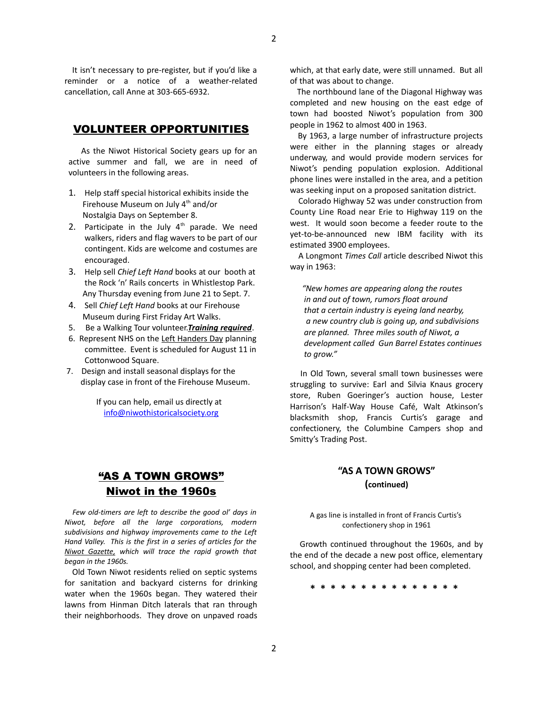It isn't necessary to pre-register, but if you'd like a reminder or a notice of a weather-related cancellation, call Anne at 303-665-6932.

### VOLUNTEER OPPORTUNITIES

 As the Niwot Historical Society gears up for an active summer and fall, we are in need of volunteers in the following areas.

- 1. Help staff special historical exhibits inside the Firehouse Museum on July  $4<sup>th</sup>$  and/or Nostalgia Days on September 8.
- 2. Participate in the July  $4<sup>th</sup>$  parade. We need walkers, riders and flag wavers to be part of our contingent. Kids are welcome and costumes are encouraged.
- 3. Help sell *Chief Left Hand* books at our booth at the Rock 'n' Rails concerts in Whistlestop Park. Any Thursday evening from June 21 to Sept. 7.
- 4. Sell *Chief Left Hand* books at our Firehouse Museum during First Friday Art Walks.
- 5. Be a Walking Tour volunteer.*Training required*.
- 6. Represent NHS on the Left Handers Day planning committee. Event is scheduled for August 11 in Cottonwood Square.
- 7. Design and install seasonal displays for the display case in front of the Firehouse Museum.

If you can help, email us directly at [info@niwothistoricalsociety.org](mailto:info@niwothistoricalsociety.org)

## "AS A TOWN GROWS" Niwot in the 1960s

 *Few old-timers are left to describe the good ol' days in Niwot, before all the large corporations, modern subdivisions and highway improvements came to the Left Hand Valley. This is the first in a series of articles for the Niwot Gazette, which will trace the rapid growth that began in the 1960s.*

 Old Town Niwot residents relied on septic systems for sanitation and backyard cisterns for drinking water when the 1960s began. They watered their lawns from Hinman Ditch laterals that ran through their neighborhoods. They drove on unpaved roads which, at that early date, were still unnamed. But all of that was about to change.

 The northbound lane of the Diagonal Highway was completed and new housing on the east edge of town had boosted Niwot's population from 300 people in 1962 to almost 400 in 1963.

 By 1963, a large number of infrastructure projects were either in the planning stages or already underway, and would provide modern services for Niwot's pending population explosion. Additional phone lines were installed in the area, and a petition was seeking input on a proposed sanitation district.

 Colorado Highway 52 was under construction from County Line Road near Erie to Highway 119 on the west. It would soon become a feeder route to the yet-to-be-announced new IBM facility with its estimated 3900 employees.

 A Longmont *Times Call* article described Niwot this way in 1963:

 *"New homes are appearing along the routes in and out of town, rumors float around that a certain industry is eyeing land nearby, a new country club is going up, and subdivisions are planned. Three miles south of Niwot, a development called Gun Barrel Estates continues to grow."*

In Old Town, several small town businesses were struggling to survive: Earl and Silvia Knaus grocery store, Ruben Goeringer's auction house, Lester Harrison's Half-Way House Café, Walt Atkinson's blacksmith shop, Francis Curtis's garage and confectionery, the Columbine Campers shop and Smitty's Trading Post.

### **"AS A TOWN GROWS" (continued)**

A gas line is installed in front of Francis Curtis's confectionery shop in 1961

 Growth continued throughout the 1960s, and by the end of the decade a new post office, elementary school, and shopping center had been completed.

**\* \* \* \* \* \* \* \* \* \* \* \* \* \* \***